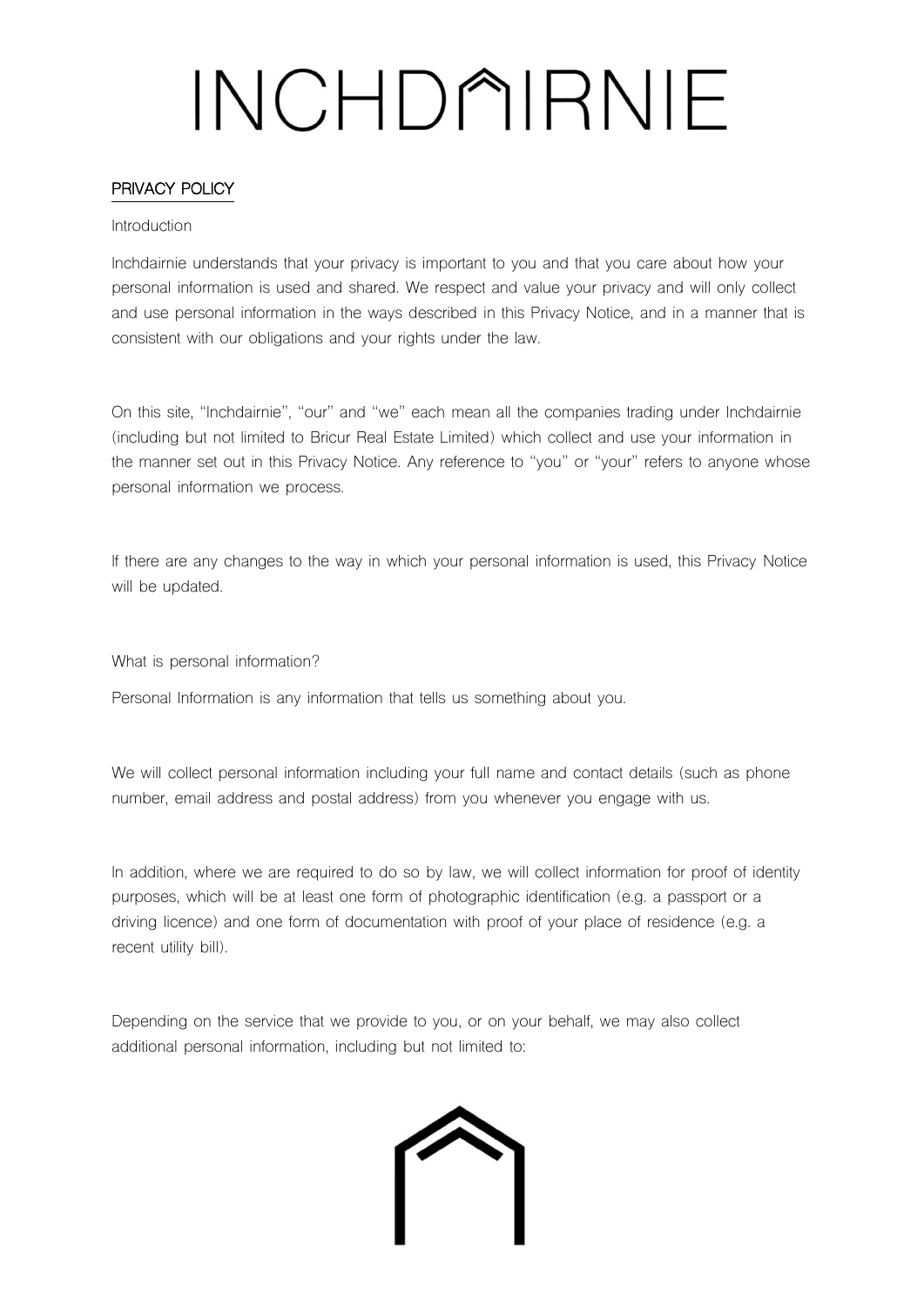### PRIVACY POLICY

#### Introduction

Inchdairnie understands that your privacy is important to you and that you care about how your personal information is used and shared. We respect and value your privacy and will only collect and use personal information in the ways described in this Privacy Notice, and in a manner that is consistent with our obligations and your rights under the law.

On this site, "Inchdairnie", "our" and "we" each mean all the companies trading under Inchdairnie (including but not limited to Bricur Real Estate Limited) which collect and use your information in the manner set out in this Privacy Notice. Any reference to "you" or "your" refers to anyone whose personal information we process.

If there are any changes to the way in which your personal information is used, this Privacy Notice will be updated.

What is personal information?

Personal Information is any information that tells us something about you.

We will collect personal information including your full name and contact details (such as phone number, email address and postal address) from you whenever you engage with us.

In addition, where we are required to do so by law, we will collect information for proof of identity purposes, which will be at least one form of photographic identification (e.g. a passport or a driving licence) and one form of documentation with proof of your place of residence (e.g. a recent utility bill).

Depending on the service that we provide to you, or on your behalf, we may also collect additional personal information, including but not limited to:

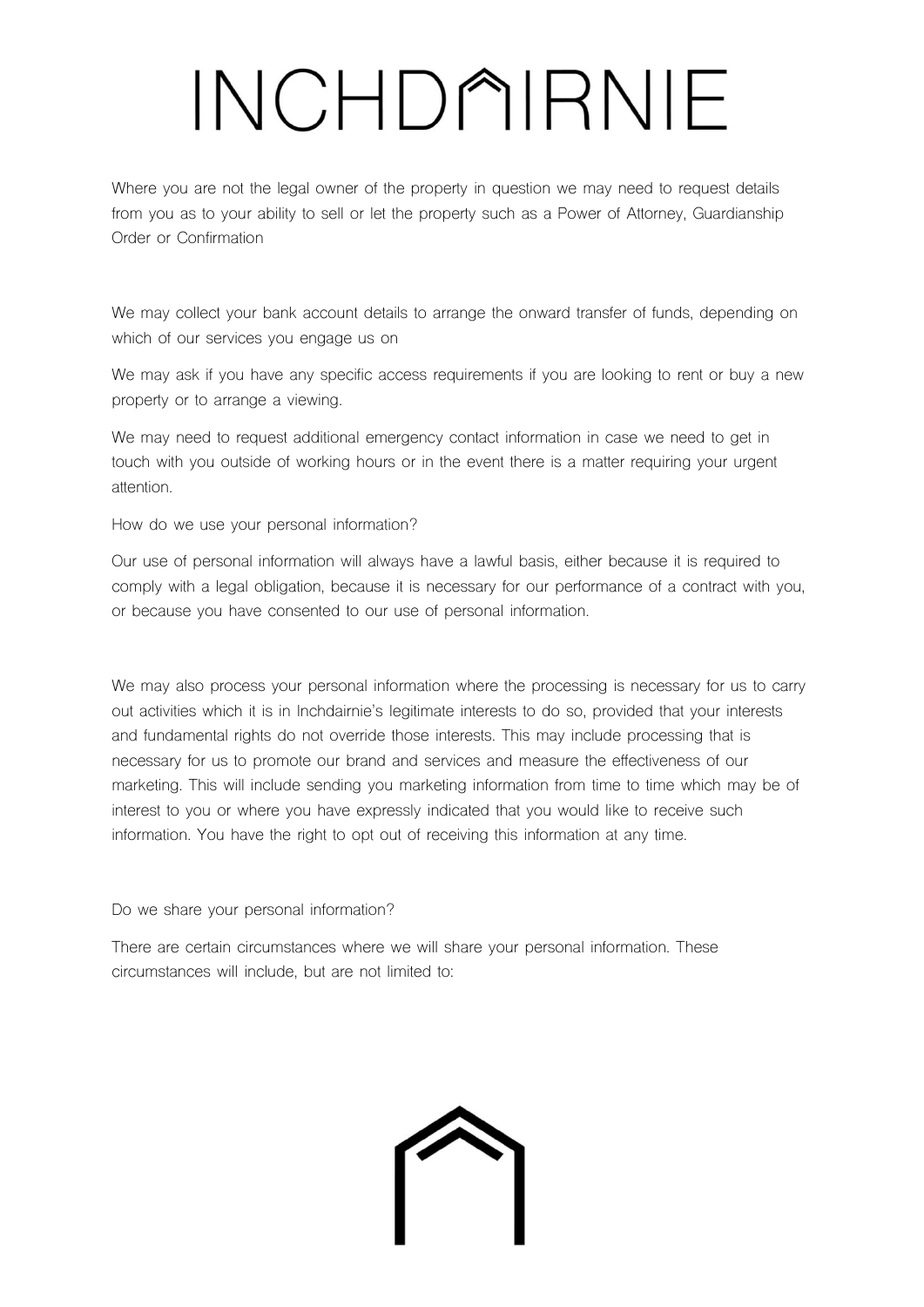Where you are not the legal owner of the property in question we may need to request details from you as to your ability to sell or let the property such as a Power of Attorney, Guardianship Order or Confirmation

We may collect your bank account details to arrange the onward transfer of funds, depending on which of our services you engage us on

We may ask if you have any specific access requirements if you are looking to rent or buy a new property or to arrange a viewing.

We may need to request additional emergency contact information in case we need to get in touch with you outside of working hours or in the event there is a matter requiring your urgent attention.

How do we use your personal information?

Our use of personal information will always have a lawful basis, either because it is required to comply with a legal obligation, because it is necessary for our performance of a contract with you, or because you have consented to our use of personal information.

We may also process your personal information where the processing is necessary for us to carry out activities which it is in Inchdairnie's legitimate interests to do so, provided that your interests and fundamental rights do not override those interests. This may include processing that is necessary for us to promote our brand and services and measure the effectiveness of our marketing. This will include sending you marketing information from time to time which may be of interest to you or where you have expressly indicated that you would like to receive such information. You have the right to opt out of receiving this information at any time.

Do we share your personal information?

There are certain circumstances where we will share your personal information. These circumstances will include, but are not limited to:

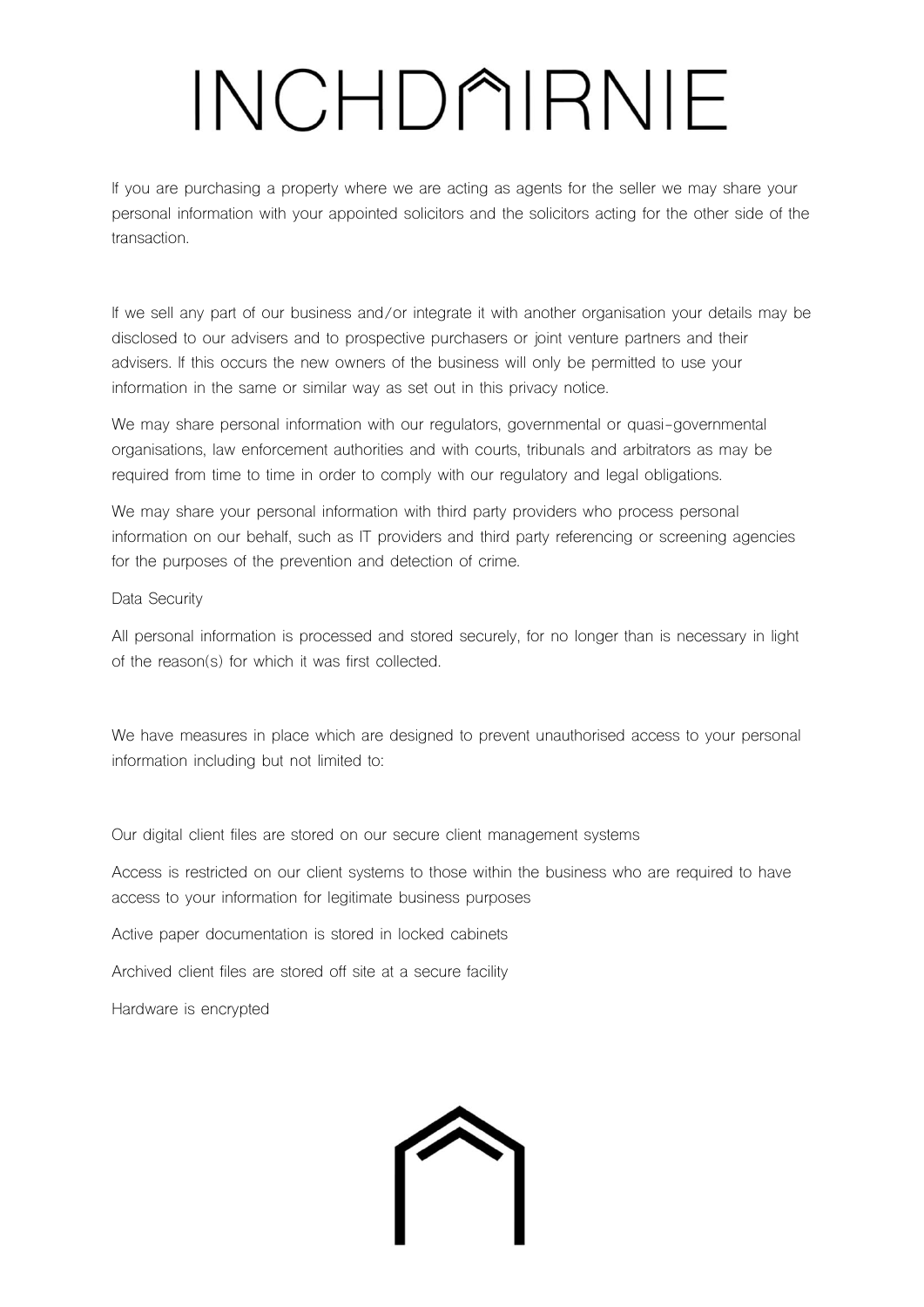If you are purchasing a property where we are acting as agents for the seller we may share your personal information with your appointed solicitors and the solicitors acting for the other side of the transaction.

If we sell any part of our business and/or integrate it with another organisation your details may be disclosed to our advisers and to prospective purchasers or joint venture partners and their advisers. If this occurs the new owners of the business will only be permitted to use your information in the same or similar way as set out in this privacy notice.

We may share personal information with our regulators, governmental or quasi-governmental organisations, law enforcement authorities and with courts, tribunals and arbitrators as may be required from time to time in order to comply with our regulatory and legal obligations.

We may share your personal information with third party providers who process personal information on our behalf, such as IT providers and third party referencing or screening agencies for the purposes of the prevention and detection of crime.

### Data Security

All personal information is processed and stored securely, for no longer than is necessary in light of the reason(s) for which it was first collected.

We have measures in place which are designed to prevent unauthorised access to your personal information including but not limited to:

Our digital client files are stored on our secure client management systems

Access is restricted on our client systems to those within the business who are required to have access to your information for legitimate business purposes

Active paper documentation is stored in locked cabinets

Archived client files are stored off site at a secure facility

Hardware is encrypted

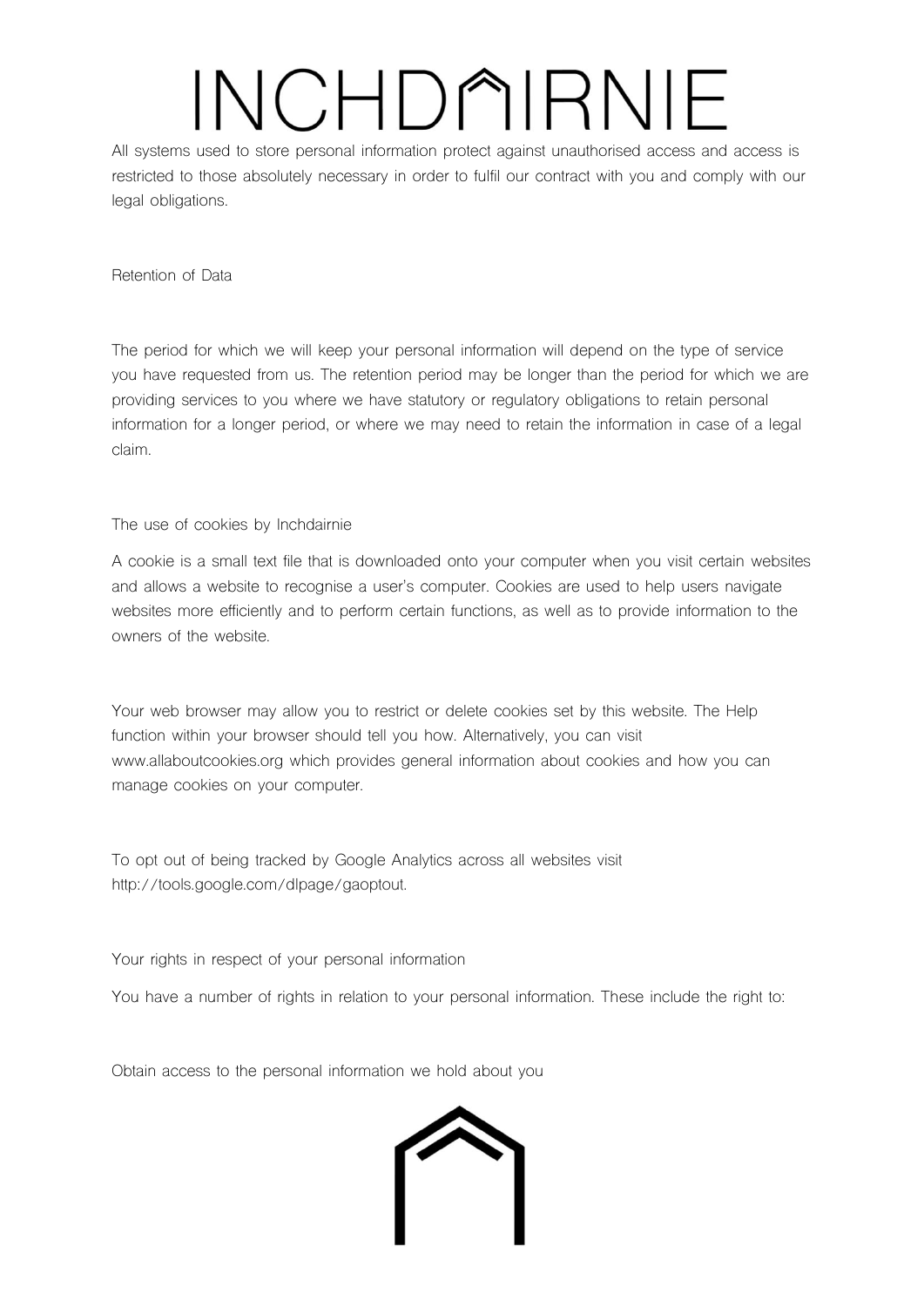All systems used to store personal information protect against unauthorised access and access is restricted to those absolutely necessary in order to fulfil our contract with you and comply with our legal obligations.

Retention of Data

The period for which we will keep your personal information will depend on the type of service you have requested from us. The retention period may be longer than the period for which we are providing services to you where we have statutory or regulatory obligations to retain personal information for a longer period, or where we may need to retain the information in case of a legal claim.

The use of cookies by Inchdairnie

A cookie is a small text file that is downloaded onto your computer when you visit certain websites and allows a website to recognise a user's computer. Cookies are used to help users navigate websites more efficiently and to perform certain functions, as well as to provide information to the owners of the website.

Your web browser may allow you to restrict or delete cookies set by this website. The Help function within your browser should tell you how. Alternatively, you can visit www.allaboutcookies.org which provides general information about cookies and how you can manage cookies on your computer.

To opt out of being tracked by Google Analytics across all websites visit http://tools.google.com/dlpage/gaoptout.

Your rights in respect of your personal information

You have a number of rights in relation to your personal information. These include the right to:

Obtain access to the personal information we hold about you

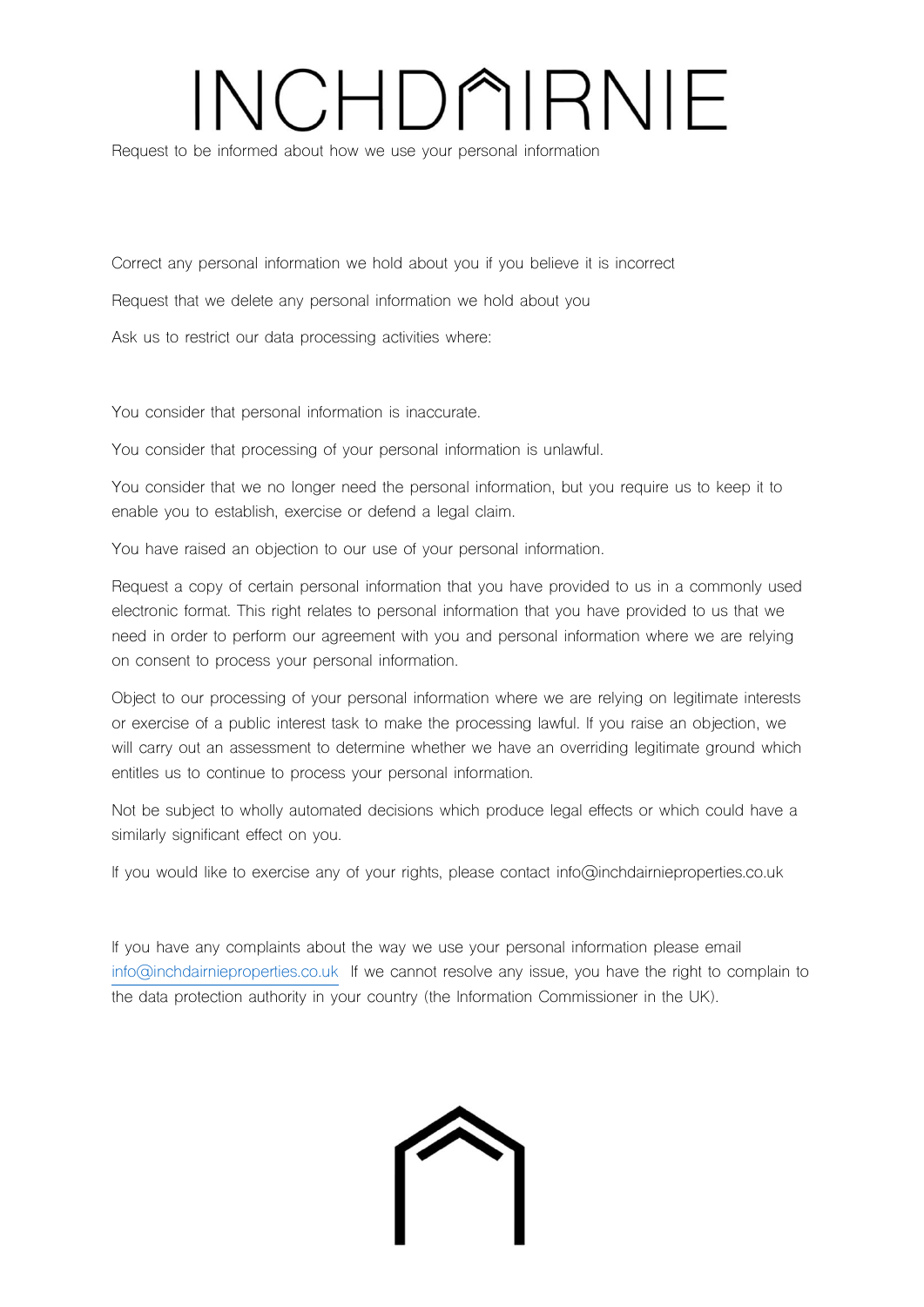Request to be informed about how we use your personal information

Correct any personal information we hold about you if you believe it is incorrect

Request that we delete any personal information we hold about you

Ask us to restrict our data processing activities where:

You consider that personal information is inaccurate.

You consider that processing of your personal information is unlawful.

You consider that we no longer need the personal information, but you require us to keep it to enable you to establish, exercise or defend a legal claim.

You have raised an objection to our use of your personal information.

Request a copy of certain personal information that you have provided to us in a commonly used electronic format. This right relates to personal information that you have provided to us that we need in order to perform our agreement with you and personal information where we are relying on consent to process your personal information.

Object to our processing of your personal information where we are relying on legitimate interests or exercise of a public interest task to make the processing lawful. If you raise an objection, we will carry out an assessment to determine whether we have an overriding legitimate ground which entitles us to continue to process your personal information.

Not be subject to wholly automated decisions which produce legal effects or which could have a similarly significant effect on you.

If you would like to exercise any of your rights, please contact info@inchdairnieproperties.co.uk

If you have any complaints about the way we use your personal information please email [info@inchdairnieproperties.co.uk](mailto:info@inchdairnieproperties.co.uk) If we cannot resolve any issue, you have the right to complain to the data protection authority in your country (the Information Commissioner in the UK).

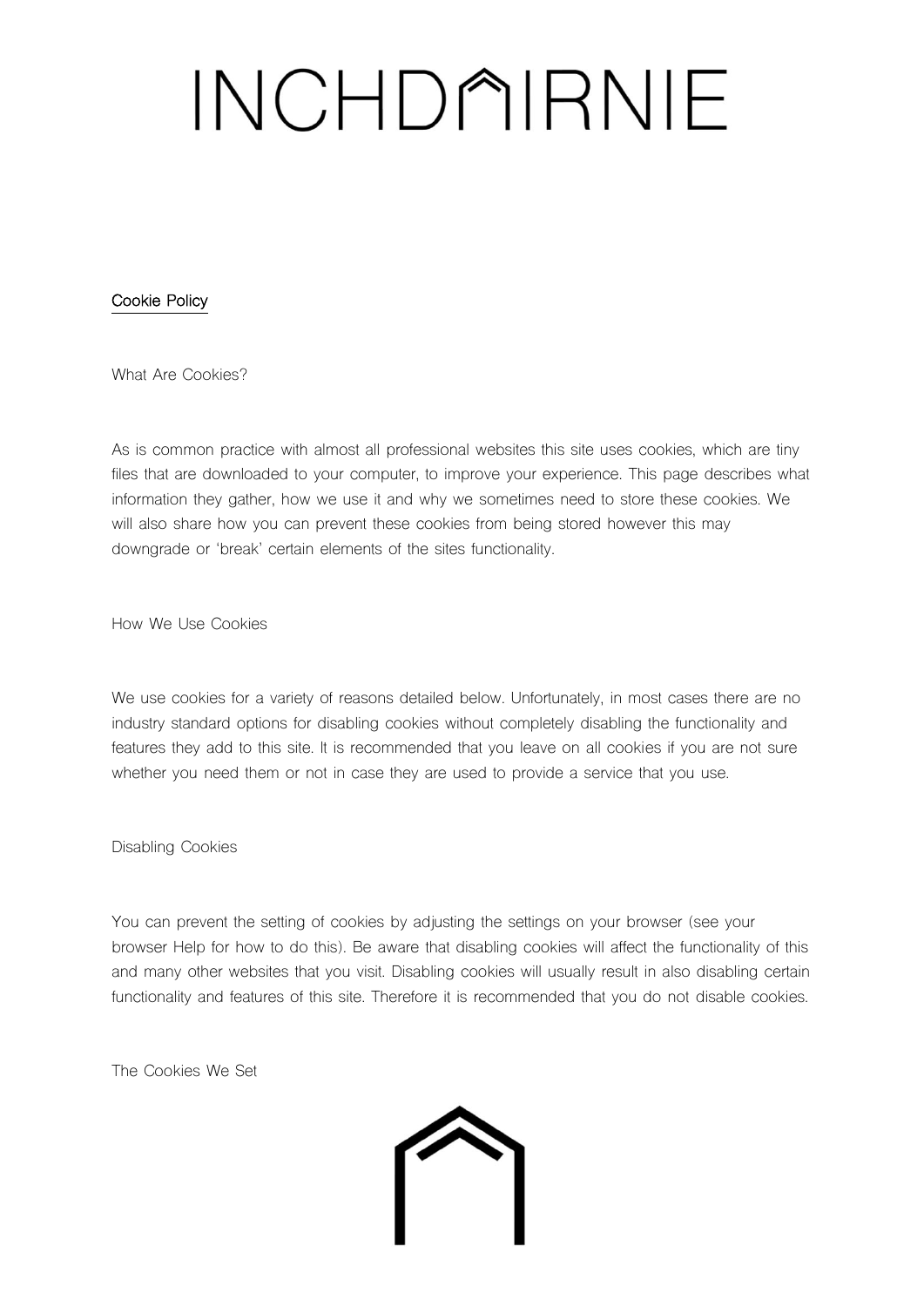### Cookie Policy

What Are Cookies?

As is common practice with almost all professional websites this site uses cookies, which are tiny files that are downloaded to your computer, to improve your experience. This page describes what information they gather, how we use it and why we sometimes need to store these cookies. We will also share how you can prevent these cookies from being stored however this may downgrade or 'break' certain elements of the sites functionality.

How We Use Cookies

We use cookies for a variety of reasons detailed below. Unfortunately, in most cases there are no industry standard options for disabling cookies without completely disabling the functionality and features they add to this site. It is recommended that you leave on all cookies if you are not sure whether you need them or not in case they are used to provide a service that you use.

Disabling Cookies

You can prevent the setting of cookies by adjusting the settings on your browser (see your browser Help for how to do this). Be aware that disabling cookies will affect the functionality of this and many other websites that you visit. Disabling cookies will usually result in also disabling certain functionality and features of this site. Therefore it is recommended that you do not disable cookies.

The Cookies We Set

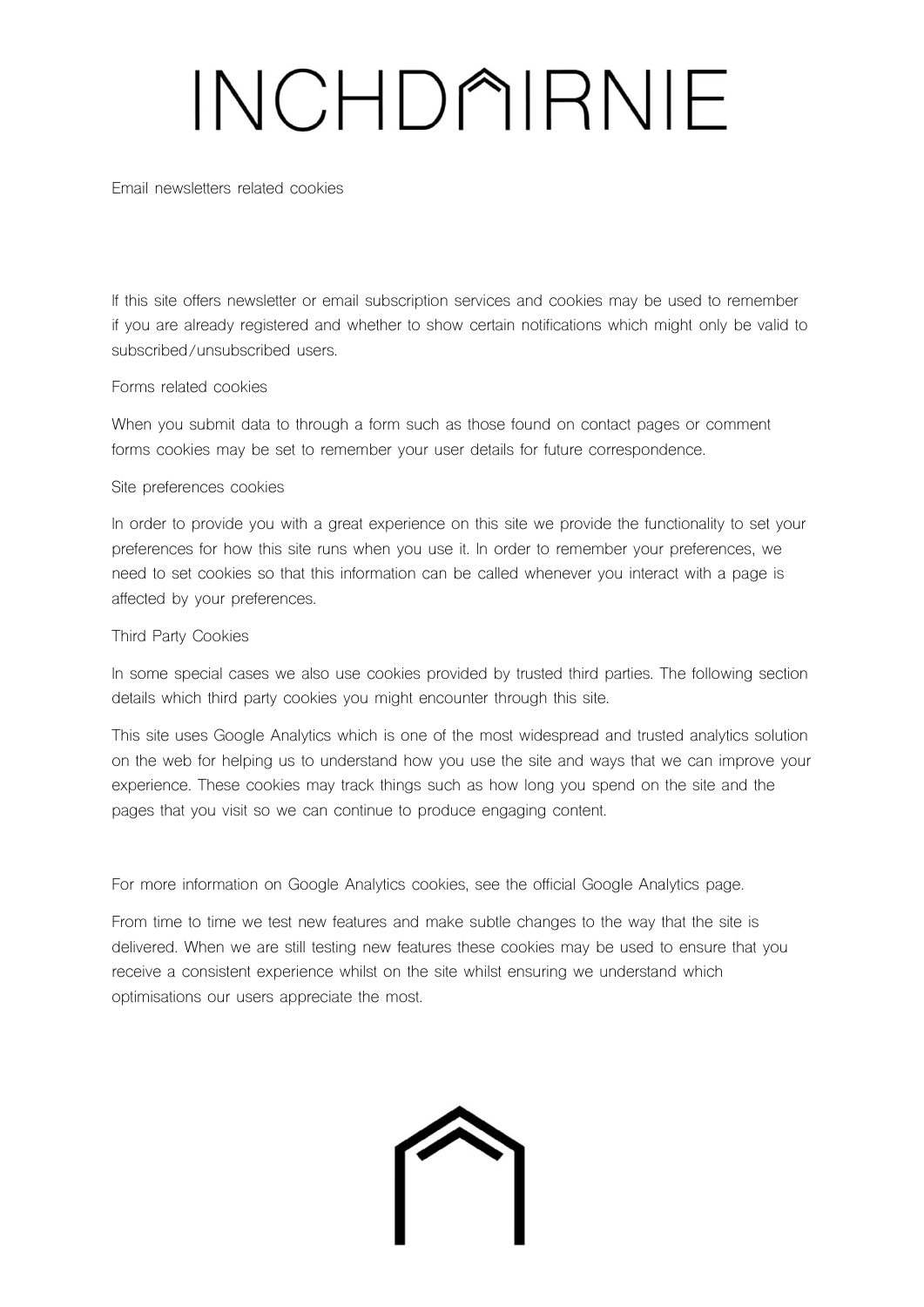Email newsletters related cookies

If this site offers newsletter or email subscription services and cookies may be used to remember if you are already registered and whether to show certain notifications which might only be valid to subscribed/unsubscribed users.

### Forms related cookies

When you submit data to through a form such as those found on contact pages or comment forms cookies may be set to remember your user details for future correspondence.

### Site preferences cookies

In order to provide you with a great experience on this site we provide the functionality to set your preferences for how this site runs when you use it. In order to remember your preferences, we need to set cookies so that this information can be called whenever you interact with a page is affected by your preferences.

### Third Party Cookies

In some special cases we also use cookies provided by trusted third parties. The following section details which third party cookies you might encounter through this site.

This site uses Google Analytics which is one of the most widespread and trusted analytics solution on the web for helping us to understand how you use the site and ways that we can improve your experience. These cookies may track things such as how long you spend on the site and the pages that you visit so we can continue to produce engaging content.

For more information on Google Analytics cookies, see the official Google Analytics page.

From time to time we test new features and make subtle changes to the way that the site is delivered. When we are still testing new features these cookies may be used to ensure that you receive a consistent experience whilst on the site whilst ensuring we understand which optimisations our users appreciate the most.